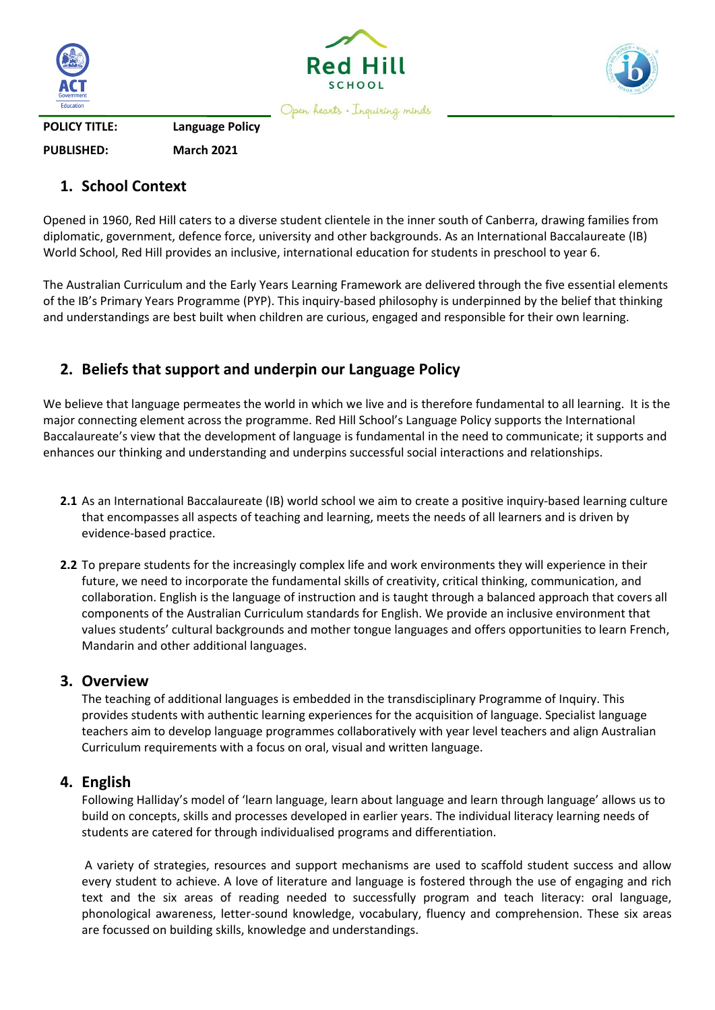





Open hearts . Inquiring minds

**POLICY TITLE: Language Policy**

**PUBLISHED: March 2021**

### **1. School Context**

Opened in 1960, Red Hill caters to a diverse student clientele in the inner south of Canberra, drawing families from diplomatic, government, defence force, university and other backgrounds. As an International Baccalaureate (IB) World School, Red Hill provides an inclusive, international education for students in preschool to year 6.

The Australian Curriculum and the Early Years Learning Framework are delivered through the five essential elements of the IB's Primary Years Programme (PYP). This inquiry-based philosophy is underpinned by the belief that thinking and understandings are best built when children are curious, engaged and responsible for their own learning.

# **2. Beliefs that support and underpin our Language Policy**

We believe that language permeates the world in which we live and is therefore fundamental to all learning. It is the major connecting element across the programme. Red Hill School's Language Policy supports the International Baccalaureate's view that the development of language is fundamental in the need to communicate; it supports and enhances our thinking and understanding and underpins successful social interactions and relationships.

- **2.1** As an International Baccalaureate (IB) world school we aim to create a positive inquiry-based learning culture that encompasses all aspects of teaching and learning, meets the needs of all learners and is driven by evidence-based practice.
- **2.2** To prepare students for the increasingly complex life and work environments they will experience in their future, we need to incorporate the fundamental skills of creativity, critical thinking, communication, and collaboration. English is the language of instruction and is taught through a balanced approach that covers all components of the Australian Curriculum standards for English. We provide an inclusive environment that values students' cultural backgrounds and mother tongue languages and offers opportunities to learn French, Mandarin and other additional languages.

#### **3. Overview**

The teaching of additional languages is embedded in the transdisciplinary Programme of Inquiry. This provides students with authentic learning experiences for the acquisition of language. Specialist language teachers aim to develop language programmes collaboratively with year level teachers and align Australian Curriculum requirements with a focus on oral, visual and written language.

#### **4. English**

Following Halliday's model of 'learn language, learn about language and learn through language' allows us to build on concepts, skills and processes developed in earlier years. The individual literacy learning needs of students are catered for through individualised programs and differentiation.

A variety of strategies, resources and support mechanisms are used to scaffold student success and allow every student to achieve. A love of literature and language is fostered through the use of engaging and rich text and the six areas of reading needed to successfully program and teach literacy: oral language, phonological awareness, letter-sound knowledge, vocabulary, fluency and comprehension. These six areas are focussed on building skills, knowledge and understandings.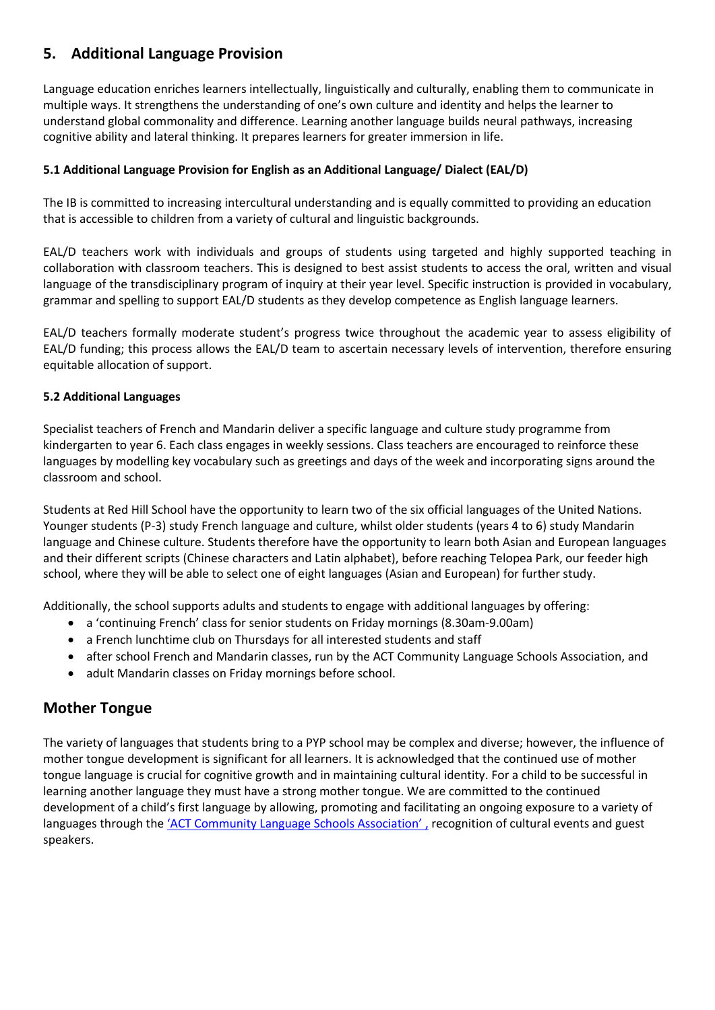## **5. Additional Language Provision**

Language education enriches learners intellectually, linguistically and culturally, enabling them to communicate in multiple ways. It strengthens the understanding of one's own culture and identity and helps the learner to understand global commonality and difference. Learning another language builds neural pathways, increasing cognitive ability and lateral thinking. It prepares learners for greater immersion in life.

#### **5.1 Additional Language Provision for English as an Additional Language/ Dialect (EAL/D)**

The IB is committed to increasing intercultural understanding and is equally committed to providing an education that is accessible to children from a variety of cultural and linguistic backgrounds.

EAL/D teachers work with individuals and groups of students using targeted and highly supported teaching in collaboration with classroom teachers. This is designed to best assist students to access the oral, written and visual language of the transdisciplinary program of inquiry at their year level. Specific instruction is provided in vocabulary, grammar and spelling to support EAL/D students as they develop competence as English language learners.

EAL/D teachers formally moderate student's progress twice throughout the academic year to assess eligibility of EAL/D funding; this process allows the EAL/D team to ascertain necessary levels of intervention, therefore ensuring equitable allocation of support.

#### **5.2 Additional Languages**

Specialist teachers of French and Mandarin deliver a specific language and culture study programme from kindergarten to year 6. Each class engages in weekly sessions. Class teachers are encouraged to reinforce these languages by modelling key vocabulary such as greetings and days of the week and incorporating signs around the classroom and school.

Students at Red Hill School have the opportunity to learn two of the six official languages of the United Nations. Younger students (P-3) study French language and culture, whilst older students (years 4 to 6) study Mandarin language and Chinese culture. Students therefore have the opportunity to learn both Asian and European languages and their different scripts (Chinese characters and Latin alphabet), before reaching Telopea Park, our feeder high school, where they will be able to select one of eight languages (Asian and European) for further study.

Additionally, the school supports adults and students to engage with additional languages by offering:

- a 'continuing French' class for senior students on Friday mornings (8.30am-9.00am)
- a French lunchtime club on Thursdays for all interested students and staff
- after school French and Mandarin classes, run by the ACT Community Language Schools Association, and
- adult Mandarin classes on Friday mornings before school.

## **Mother Tongue**

The variety of languages that students bring to a PYP school may be complex and diverse; however, the influence of mother tongue development is significant for all learners. It is acknowledged that the continued use of mother tongue language is crucial for cognitive growth and in maintaining cultural identity. For a child to be successful in learning another language they must have a strong mother tongue. We are committed to the continued development of a child's first language by allowing, promoting and facilitating an ongoing exposure to a variety of languages through the ['ACT Community Language Schools Association'](https://actclsa.wordpress.com/home/) , recognition of cultural events and guest speakers.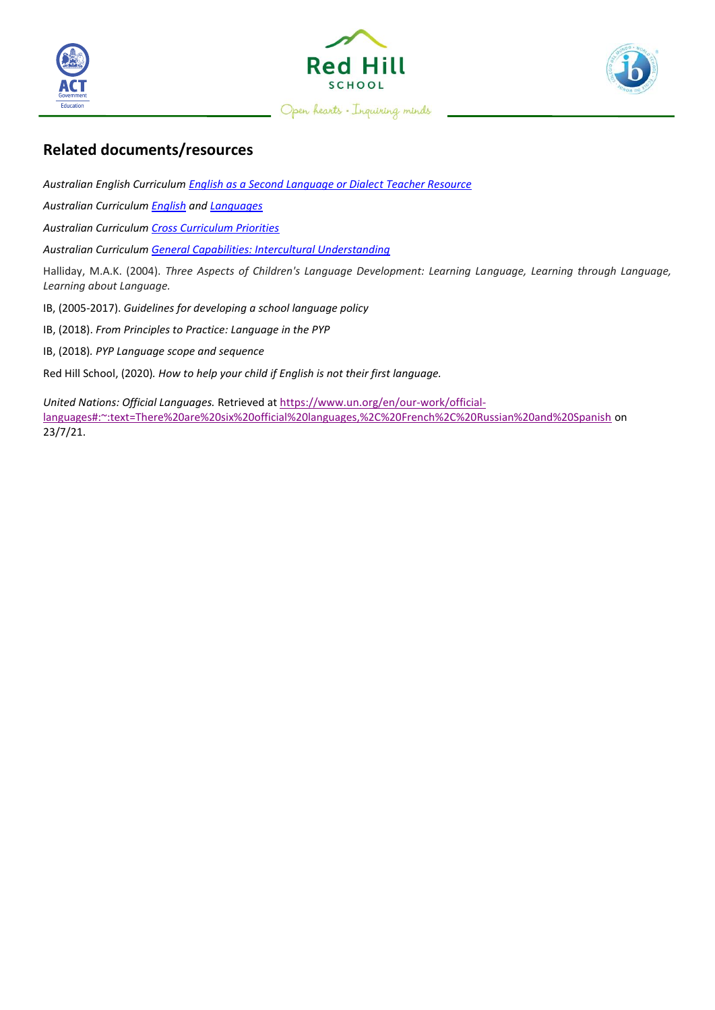



Open hearts - Inquiring minds



### **Related documents/resources**

*Australian English Curriculum English as [a Second Language or Dialect Teacher Resource](https://docs.acara.edu.au/resources/EALD_Learning_Progression.pdf)*

*Australian Curriculum [English](https://www.australiancurriculum.edu.au/f-10-curriculum/english/) and [Languages](https://www.australiancurriculum.edu.au/f-10-curriculum/languages/)*

*Australian Curriculum [Cross Curriculum Priorities](https://www.australiancurriculum.edu.au/f-10-curriculum/cross-curriculum-priorities/)*

*Australian Curriculum [General Capabilities: Intercultural Understanding](https://www.australiancurriculum.edu.au/f-10-curriculum/general-capabilities/intercultural-understanding/)*

Halliday, M.A.K. (2004). *Three Aspects of Children's Language Development: Learning Language, Learning through Language, Learning about Language.*

IB, (2005-2017). *Guidelines for developing a school language policy*

IB, (2018). *From Principles to Practice: Language in the PYP*

IB, (2018)*. PYP Language scope and sequence*

Red Hill School, (2020)*. How to help your child if English is not their first language.*

*United Nations: Official Languages.* Retrieved at [https://www.un.org/en/our-work/official](https://www.un.org/en/our-work/official-languages#:~:text=There%20are%20six%20official%20languages,%2C%20French%2C%20Russian%20and%20Spanish)[languages#:~:text=There%20are%20six%20official%20languages,%2C%20French%2C%20Russian%20and%20Spanish](https://www.un.org/en/our-work/official-languages#:~:text=There%20are%20six%20official%20languages,%2C%20French%2C%20Russian%20and%20Spanish) on 23/7/21.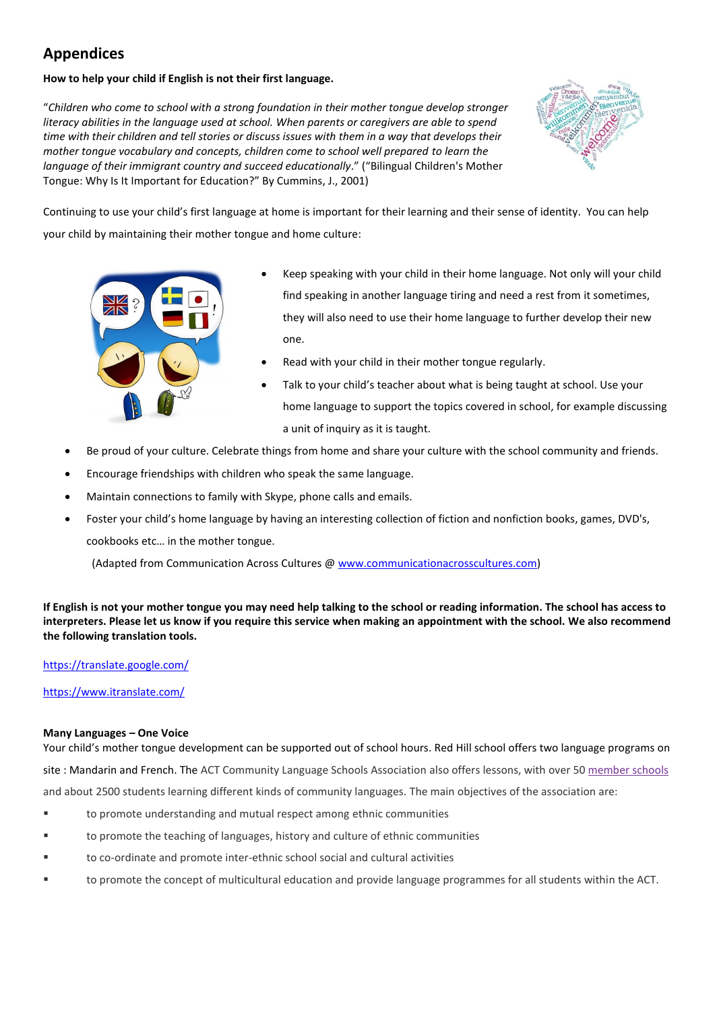# **Appendices**

#### **How to help your child if English is not their first language.**

"*Children who come to school with a strong foundation in their mother tongue develop stronger literacy abilities in the language used at school. When parents or caregivers are able to spend time with their children and tell stories or discuss issues with them in a way that develops their mother tongue vocabulary and concepts, children come to school well prepared to learn the language of their immigrant country and succeed educationally*." ("Bilingual Children's Mother Tongue: Why Is It Important for Education?" By Cummins, J., 2001)



Continuing to use your child's first language at home is important for their learning and their sense of identity. You can help your child by maintaining their mother tongue and home culture:



- Keep speaking with your child in their home language. Not only will your child find speaking in another language tiring and need a rest from it sometimes, they will also need to use their home language to further develop their new one.
- Read with your child in their mother tongue regularly.
- Talk to your child's teacher about what is being taught at school. Use your home language to support the topics covered in school, for example discussing a unit of inquiry as it is taught.
- [Be proud of](http://www.blogs.hss.ed.ac.uk/pubs-and-publications/2015/12/14/american-curse-how-many-languages-do-you-speak/) your cultu[re. Ce](https://creativecommons.org/licenses/by-nc-nd/3.0/)lebrate things from home and share your culture with the school community and friends.
- [Encourage fr](https://creativecommons.org/licenses/by-nc-nd/3.0/)iendships with children who speak the same language.
- Maintain connections to family with Skype, phone calls and emails.
- Foster your child's home language by having an interesting collection of fiction and nonfiction books, games, DVD's, cookbooks etc… in the mother tongue.

(Adapted from Communication Across Cultures @ [www.communicationacrosscultures.com\)](http://www.communicationacrosscultures.com/)

**If English is not your mother tongue you may need help talking to the school or reading information. The school has access to interpreters. Please let us know if you require this service when making an appointment with the school. We also recommend the following translation tools.**

#### <https://translate.google.com/>

<https://www.itranslate.com/>

#### **Many Languages – One Voice**

Your child's mother tongue development can be supported out of school hours. Red Hill school offers two language programs on site : Mandarin and French. The ACT Community Language Schools Association also offers lessons, with over 5[0 member](https://actclsa.wordpress.com/schools/) schools and about 2500 students learning different kinds of community languages. The main objectives of the association are:

- to promote understanding and mutual respect among ethnic communities
- to promote the teaching of languages, history and culture of ethnic communities
- to co-ordinate and promote inter-ethnic school social and cultural activities
- to promote the concept of multicultural education and provide language programmes for all students within the ACT.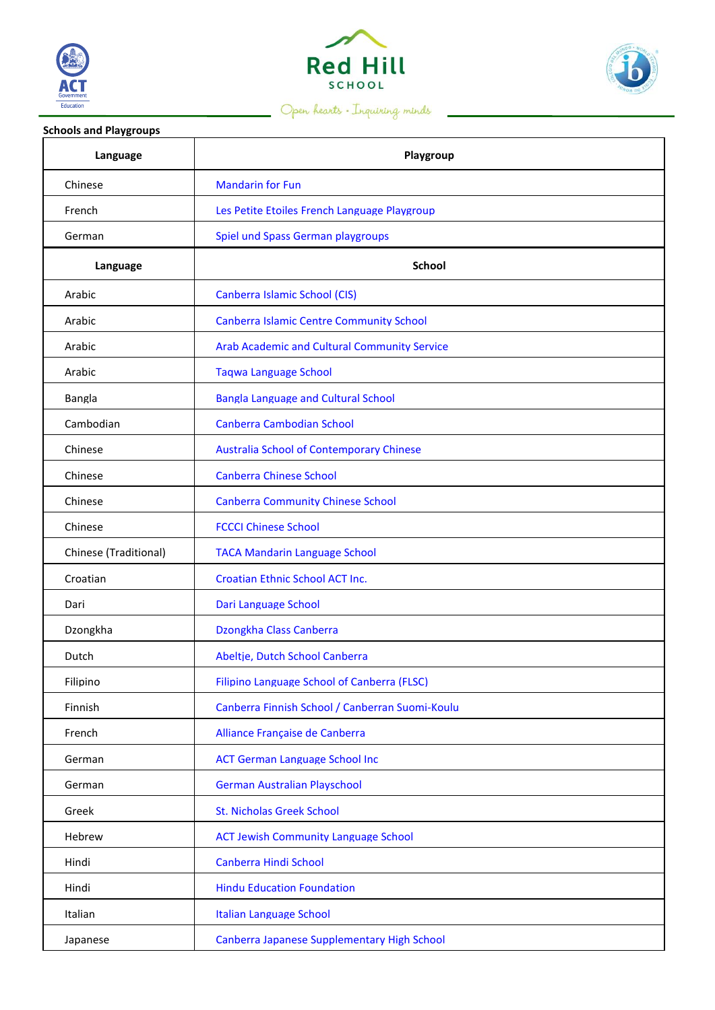



# Open hearts . Inquiring minds



| <b>Schools and Playgroups</b> |                                                 |
|-------------------------------|-------------------------------------------------|
| Language                      | Playgroup                                       |
| Chinese                       | <b>Mandarin for Fun</b>                         |
| French                        | Les Petite Etoiles French Language Playgroup    |
| German                        | Spiel und Spass German playgroups               |
| Language                      | <b>School</b>                                   |
| Arabic                        | Canberra Islamic School (CIS)                   |
| Arabic                        | <b>Canberra Islamic Centre Community School</b> |
| Arabic                        | Arab Academic and Cultural Community Service    |
| Arabic                        | <b>Taqwa Language School</b>                    |
| Bangla                        | <b>Bangla Language and Cultural School</b>      |
| Cambodian                     | Canberra Cambodian School                       |
| Chinese                       | <b>Australia School of Contemporary Chinese</b> |
| Chinese                       | <b>Canberra Chinese School</b>                  |
| Chinese                       | <b>Canberra Community Chinese School</b>        |
| Chinese                       | <b>FCCCI Chinese School</b>                     |
| Chinese (Traditional)         | <b>TACA Mandarin Language School</b>            |
| Croatian                      | Croatian Ethnic School ACT Inc.                 |
| Dari                          | Dari Language School                            |
| Dzongkha                      | Dzongkha Class Canberra                         |
| Dutch                         | Abeltje, Dutch School Canberra                  |
| Filipino                      | Filipino Language School of Canberra (FLSC)     |
| Finnish                       | Canberra Finnish School / Canberran Suomi-Koulu |
| French                        | Alliance Française de Canberra                  |
| German                        | <b>ACT German Language School Inc</b>           |
| German                        | <b>German Australian Playschool</b>             |
| Greek                         | <b>St. Nicholas Greek School</b>                |
| Hebrew                        | <b>ACT Jewish Community Language School</b>     |
| Hindi                         | Canberra Hindi School                           |
| Hindi                         | <b>Hindu Education Foundation</b>               |
| Italian                       | Italian Language School                         |
| Japanese                      | Canberra Japanese Supplementary High School     |